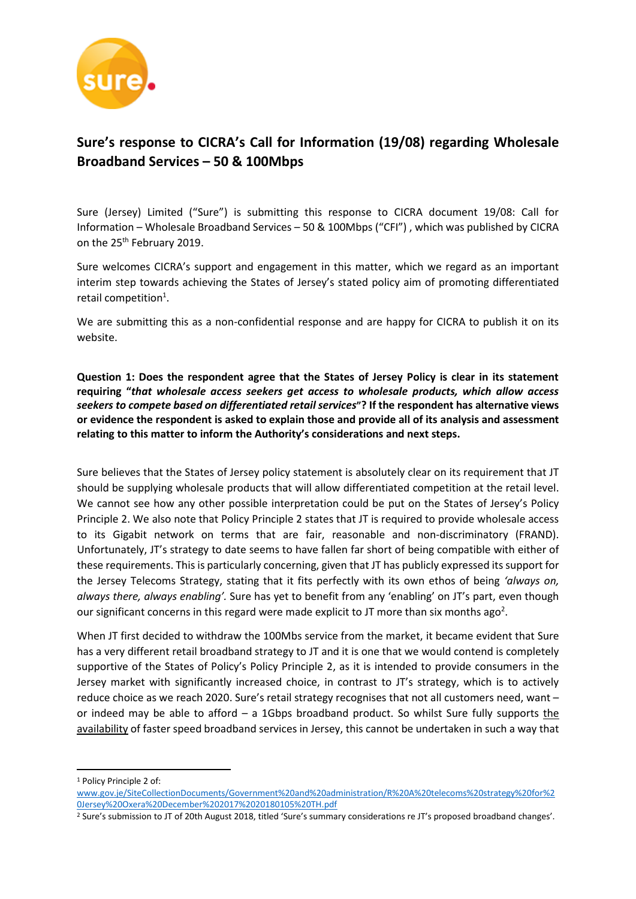

# **Sure's response to CICRA's Call for Information (19/08) regarding Wholesale Broadband Services – 50 & 100Mbps**

Sure (Jersey) Limited ("Sure") is submitting this response to CICRA document 19/08: Call for Information – Wholesale Broadband Services – 50 & 100Mbps ("CFI") , which was published by CICRA on the 25<sup>th</sup> February 2019.

Sure welcomes CICRA's support and engagement in this matter, which we regard as an important interim step towards achieving the States of Jersey's stated policy aim of promoting differentiated retail competition<sup>1</sup>.

We are submitting this as a non-confidential response and are happy for CICRA to publish it on its website.

**Question 1: Does the respondent agree that the States of Jersey Policy is clear in its statement requiring "***that wholesale access seekers get access to wholesale products, which allow access seekers to compete based on differentiated retail services***"? If the respondent has alternative views or evidence the respondent is asked to explain those and provide all of its analysis and assessment relating to this matter to inform the Authority's considerations and next steps.** 

Sure believes that the States of Jersey policy statement is absolutely clear on its requirement that JT should be supplying wholesale products that will allow differentiated competition at the retail level. We cannot see how any other possible interpretation could be put on the States of Jersey's Policy Principle 2. We also note that Policy Principle 2 states that JT is required to provide wholesale access to its Gigabit network on terms that are fair, reasonable and non-discriminatory (FRAND). Unfortunately, JT's strategy to date seems to have fallen far short of being compatible with either of these requirements. This is particularly concerning, given that JT has publicly expressed its support for the Jersey Telecoms Strategy, stating that it fits perfectly with its own ethos of being *'always on, always there, always enabling'.* Sure has yet to benefit from any 'enabling' on JT's part, even though our significant concerns in this regard were made explicit to JT more than six months ago<sup>2</sup>.

When JT first decided to withdraw the 100Mbs service from the market, it became evident that Sure has a very different retail broadband strategy to JT and it is one that we would contend is completely supportive of the States of Policy's Policy Principle 2, as it is intended to provide consumers in the Jersey market with significantly increased choice, in contrast to JT's strategy, which is to actively reduce choice as we reach 2020. Sure's retail strategy recognises that not all customers need, want – or indeed may be able to afford  $-$  a 1Gbps broadband product. So whilst Sure fully supports the availability of faster speed broadband services in Jersey, this cannot be undertaken in such a way that

<sup>1</sup> Policy Principle 2 of:

 $\overline{a}$ 

[www.gov.je/SiteCollectionDocuments/Government%20and%20administration/R%20A%20telecoms%20strategy%20for%2](http://www.gov.je/SiteCollectionDocuments/Government%20and%20administration/R%20A%20telecoms%20strategy%20for%20Jersey%20Oxera%20December%202017%2020180105%20TH.pdf) [0Jersey%20Oxera%20December%202017%2020180105%20TH.pdf](http://www.gov.je/SiteCollectionDocuments/Government%20and%20administration/R%20A%20telecoms%20strategy%20for%20Jersey%20Oxera%20December%202017%2020180105%20TH.pdf)

<sup>&</sup>lt;sup>2</sup> Sure's submission to JT of 20th August 2018, titled 'Sure's summary considerations re JT's proposed broadband changes'.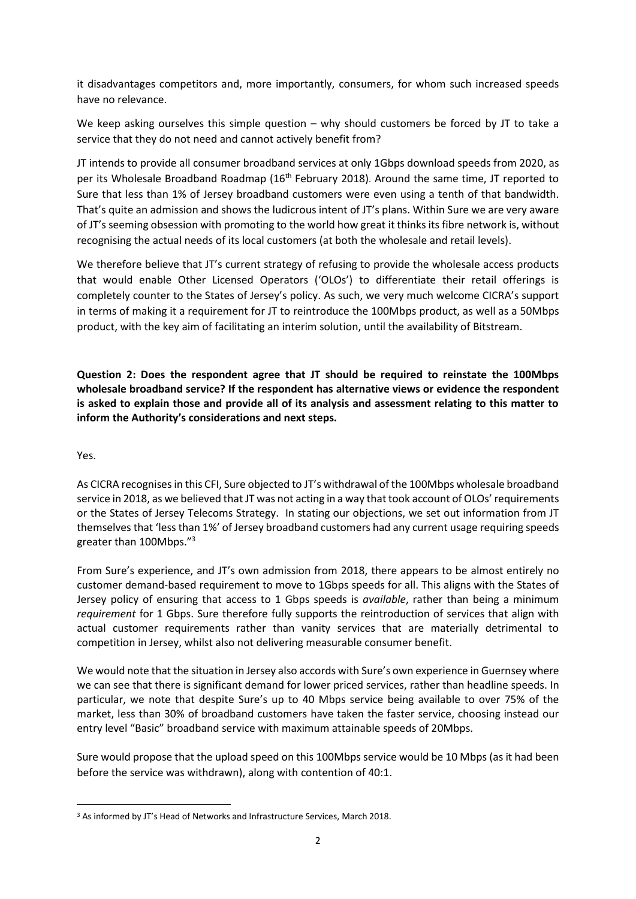it disadvantages competitors and, more importantly, consumers, for whom such increased speeds have no relevance.

We keep asking ourselves this simple question – why should customers be forced by JT to take a service that they do not need and cannot actively benefit from?

JT intends to provide all consumer broadband services at only 1Gbps download speeds from 2020, as per its Wholesale Broadband Roadmap (16<sup>th</sup> February 2018). Around the same time, JT reported to Sure that less than 1% of Jersey broadband customers were even using a tenth of that bandwidth. That's quite an admission and shows the ludicrous intent of JT's plans. Within Sure we are very aware of JT's seeming obsession with promoting to the world how great it thinks its fibre network is, without recognising the actual needs of its local customers (at both the wholesale and retail levels).

We therefore believe that JT's current strategy of refusing to provide the wholesale access products that would enable Other Licensed Operators ('OLOs') to differentiate their retail offerings is completely counter to the States of Jersey's policy. As such, we very much welcome CICRA's support in terms of making it a requirement for JT to reintroduce the 100Mbps product, as well as a 50Mbps product, with the key aim of facilitating an interim solution, until the availability of Bitstream.

**Question 2: Does the respondent agree that JT should be required to reinstate the 100Mbps wholesale broadband service? If the respondent has alternative views or evidence the respondent is asked to explain those and provide all of its analysis and assessment relating to this matter to inform the Authority's considerations and next steps.** 

### Yes.

1

As CICRA recognises in this CFI, Sure objected to JT's withdrawal of the 100Mbps wholesale broadband service in 2018, as we believed that JT was not acting in a way that took account of OLOs' requirements or the States of Jersey Telecoms Strategy. In stating our objections, we set out information from JT themselves that 'less than 1%' of Jersey broadband customers had any current usage requiring speeds greater than 100Mbps."<sup>3</sup>

From Sure's experience, and JT's own admission from 2018, there appears to be almost entirely no customer demand-based requirement to move to 1Gbps speeds for all. This aligns with the States of Jersey policy of ensuring that access to 1 Gbps speeds is *available*, rather than being a minimum *requirement* for 1 Gbps. Sure therefore fully supports the reintroduction of services that align with actual customer requirements rather than vanity services that are materially detrimental to competition in Jersey, whilst also not delivering measurable consumer benefit.

We would note that the situation in Jersey also accords with Sure's own experience in Guernsey where we can see that there is significant demand for lower priced services, rather than headline speeds. In particular, we note that despite Sure's up to 40 Mbps service being available to over 75% of the market, less than 30% of broadband customers have taken the faster service, choosing instead our entry level "Basic" broadband service with maximum attainable speeds of 20Mbps.

Sure would propose that the upload speed on this 100Mbps service would be 10 Mbps (as it had been before the service was withdrawn), along with contention of 40:1.

<sup>&</sup>lt;sup>3</sup> As informed by JT's Head of Networks and Infrastructure Services, March 2018.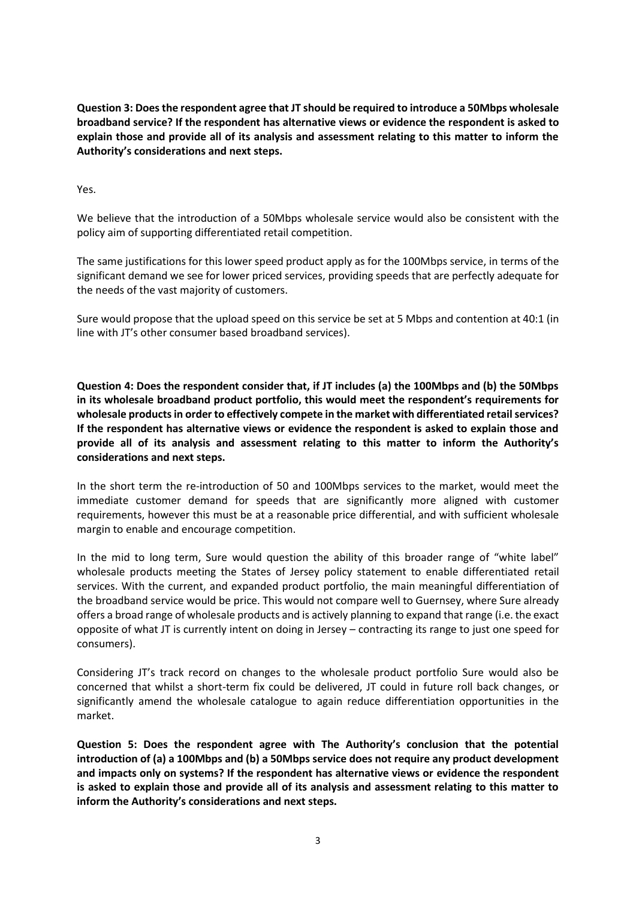**Question 3: Does the respondent agree that JT should be required to introduce a 50Mbps wholesale broadband service? If the respondent has alternative views or evidence the respondent is asked to explain those and provide all of its analysis and assessment relating to this matter to inform the Authority's considerations and next steps.** 

Yes.

We believe that the introduction of a 50Mbps wholesale service would also be consistent with the policy aim of supporting differentiated retail competition.

The same justifications for this lower speed product apply as for the 100Mbps service, in terms of the significant demand we see for lower priced services, providing speeds that are perfectly adequate for the needs of the vast majority of customers.

Sure would propose that the upload speed on this service be set at 5 Mbps and contention at 40:1 (in line with JT's other consumer based broadband services).

**Question 4: Does the respondent consider that, if JT includes (a) the 100Mbps and (b) the 50Mbps in its wholesale broadband product portfolio, this would meet the respondent's requirements for wholesale products in order to effectively compete in the market with differentiated retail services? If the respondent has alternative views or evidence the respondent is asked to explain those and provide all of its analysis and assessment relating to this matter to inform the Authority's considerations and next steps.** 

In the short term the re-introduction of 50 and 100Mbps services to the market, would meet the immediate customer demand for speeds that are significantly more aligned with customer requirements, however this must be at a reasonable price differential, and with sufficient wholesale margin to enable and encourage competition.

In the mid to long term, Sure would question the ability of this broader range of "white label" wholesale products meeting the States of Jersey policy statement to enable differentiated retail services. With the current, and expanded product portfolio, the main meaningful differentiation of the broadband service would be price. This would not compare well to Guernsey, where Sure already offers a broad range of wholesale products and is actively planning to expand that range (i.e. the exact opposite of what JT is currently intent on doing in Jersey – contracting its range to just one speed for consumers).

Considering JT's track record on changes to the wholesale product portfolio Sure would also be concerned that whilst a short-term fix could be delivered, JT could in future roll back changes, or significantly amend the wholesale catalogue to again reduce differentiation opportunities in the market.

**Question 5: Does the respondent agree with The Authority's conclusion that the potential introduction of (a) a 100Mbps and (b) a 50Mbps service does not require any product development and impacts only on systems? If the respondent has alternative views or evidence the respondent is asked to explain those and provide all of its analysis and assessment relating to this matter to inform the Authority's considerations and next steps.**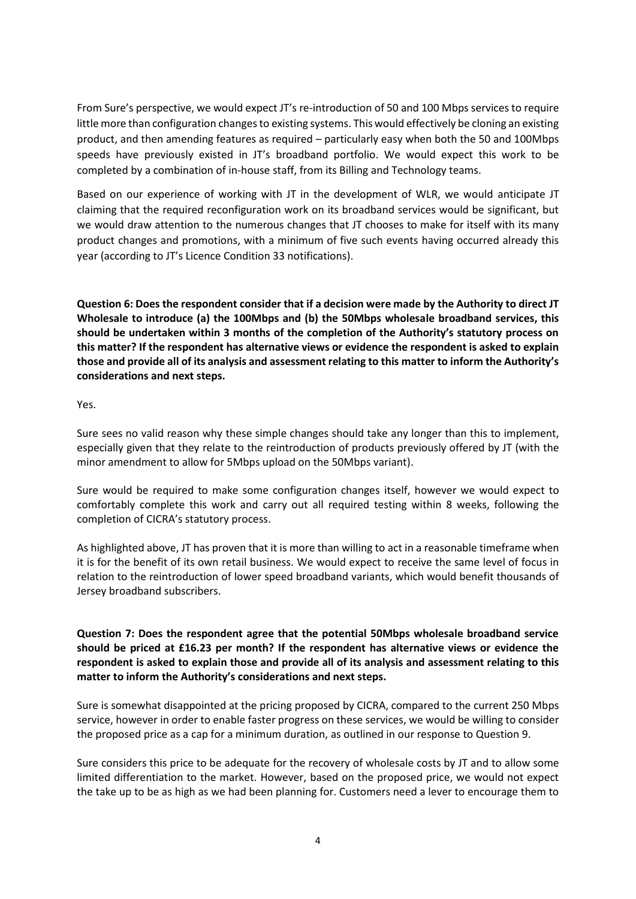From Sure's perspective, we would expect JT's re-introduction of 50 and 100 Mbps services to require little more than configuration changes to existing systems. This would effectively be cloning an existing product, and then amending features as required – particularly easy when both the 50 and 100Mbps speeds have previously existed in JT's broadband portfolio. We would expect this work to be completed by a combination of in-house staff, from its Billing and Technology teams.

Based on our experience of working with JT in the development of WLR, we would anticipate JT claiming that the required reconfiguration work on its broadband services would be significant, but we would draw attention to the numerous changes that JT chooses to make for itself with its many product changes and promotions, with a minimum of five such events having occurred already this year (according to JT's Licence Condition 33 notifications).

**Question 6: Does the respondent consider that if a decision were made by the Authority to direct JT Wholesale to introduce (a) the 100Mbps and (b) the 50Mbps wholesale broadband services, this should be undertaken within 3 months of the completion of the Authority's statutory process on this matter? If the respondent has alternative views or evidence the respondent is asked to explain those and provide all of its analysis and assessment relating to this matter to inform the Authority's considerations and next steps.** 

#### Yes.

Sure sees no valid reason why these simple changes should take any longer than this to implement, especially given that they relate to the reintroduction of products previously offered by JT (with the minor amendment to allow for 5Mbps upload on the 50Mbps variant).

Sure would be required to make some configuration changes itself, however we would expect to comfortably complete this work and carry out all required testing within 8 weeks, following the completion of CICRA's statutory process.

As highlighted above, JT has proven that it is more than willing to act in a reasonable timeframe when it is for the benefit of its own retail business. We would expect to receive the same level of focus in relation to the reintroduction of lower speed broadband variants, which would benefit thousands of Jersey broadband subscribers.

## **Question 7: Does the respondent agree that the potential 50Mbps wholesale broadband service should be priced at £16.23 per month? If the respondent has alternative views or evidence the respondent is asked to explain those and provide all of its analysis and assessment relating to this matter to inform the Authority's considerations and next steps.**

Sure is somewhat disappointed at the pricing proposed by CICRA, compared to the current 250 Mbps service, however in order to enable faster progress on these services, we would be willing to consider the proposed price as a cap for a minimum duration, as outlined in our response to Question 9.

Sure considers this price to be adequate for the recovery of wholesale costs by JT and to allow some limited differentiation to the market. However, based on the proposed price, we would not expect the take up to be as high as we had been planning for. Customers need a lever to encourage them to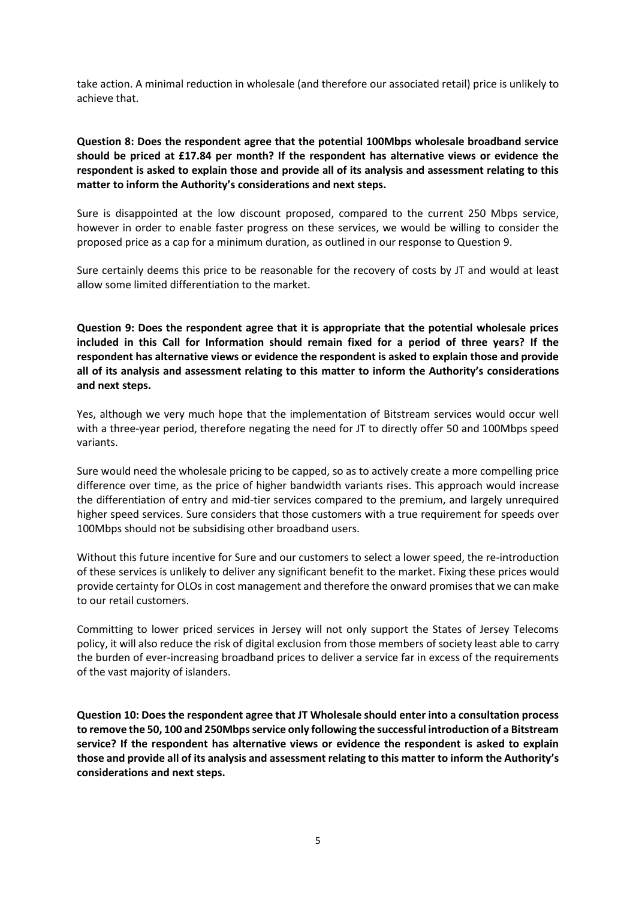take action. A minimal reduction in wholesale (and therefore our associated retail) price is unlikely to achieve that.

## **Question 8: Does the respondent agree that the potential 100Mbps wholesale broadband service should be priced at £17.84 per month? If the respondent has alternative views or evidence the respondent is asked to explain those and provide all of its analysis and assessment relating to this matter to inform the Authority's considerations and next steps.**

Sure is disappointed at the low discount proposed, compared to the current 250 Mbps service, however in order to enable faster progress on these services, we would be willing to consider the proposed price as a cap for a minimum duration, as outlined in our response to Question 9.

Sure certainly deems this price to be reasonable for the recovery of costs by JT and would at least allow some limited differentiation to the market.

**Question 9: Does the respondent agree that it is appropriate that the potential wholesale prices included in this Call for Information should remain fixed for a period of three years? If the respondent has alternative views or evidence the respondent is asked to explain those and provide all of its analysis and assessment relating to this matter to inform the Authority's considerations and next steps.** 

Yes, although we very much hope that the implementation of Bitstream services would occur well with a three-year period, therefore negating the need for JT to directly offer 50 and 100Mbps speed variants.

Sure would need the wholesale pricing to be capped, so as to actively create a more compelling price difference over time, as the price of higher bandwidth variants rises. This approach would increase the differentiation of entry and mid-tier services compared to the premium, and largely unrequired higher speed services. Sure considers that those customers with a true requirement for speeds over 100Mbps should not be subsidising other broadband users.

Without this future incentive for Sure and our customers to select a lower speed, the re-introduction of these services is unlikely to deliver any significant benefit to the market. Fixing these prices would provide certainty for OLOs in cost management and therefore the onward promises that we can make to our retail customers.

Committing to lower priced services in Jersey will not only support the States of Jersey Telecoms policy, it will also reduce the risk of digital exclusion from those members of society least able to carry the burden of ever-increasing broadband prices to deliver a service far in excess of the requirements of the vast majority of islanders.

**Question 10: Does the respondent agree that JT Wholesale should enter into a consultation process to remove the 50, 100 and 250Mbps service only following the successful introduction of a Bitstream service? If the respondent has alternative views or evidence the respondent is asked to explain those and provide all of its analysis and assessment relating to this matter to inform the Authority's considerations and next steps.**